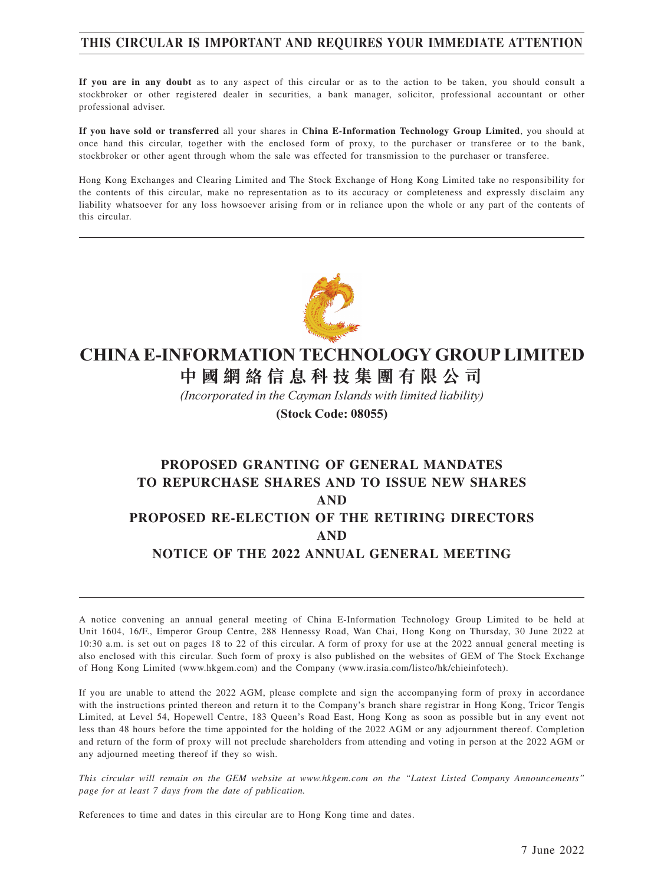#### **THIS CIRCULAR IS IMPORTANT AND REQUIRES YOUR IMMEDIATE ATTENTION**

**If you are in any doubt** as to any aspect of this circular or as to the action to be taken, you should consult a stockbroker or other registered dealer in securities, a bank manager, solicitor, professional accountant or other professional adviser.

**If you have sold or transferred** all your shares in **China E-Information Technology Group Limited**, you should at once hand this circular, together with the enclosed form of proxy, to the purchaser or transferee or to the bank, stockbroker or other agent through whom the sale was effected for transmission to the purchaser or transferee.

Hong Kong Exchanges and Clearing Limited and The Stock Exchange of Hong Kong Limited take no responsibility for the contents of this circular, make no representation as to its accuracy or completeness and expressly disclaim any liability whatsoever for any loss howsoever arising from or in reliance upon the whole or any part of the contents of this circular.



# **CHINA E-INFORMATION TECHNOLOGY GROUP LIMITED**

**中 國 網 絡 信 息 科 技 集 團 有 限 公 司**

*(Incorporated in the Cayman Islands with limited liability)* **(Stock Code: 08055)**

# **PROPOSED GRANTING OF GENERAL MANDATES TO REPURCHASE SHARES AND TO ISSUE NEW SHARES AND PROPOSED RE-ELECTION OF THE RETIRING DIRECTORS AND NOTICE OF THE 2022 ANNUAL GENERAL MEETING**

A notice convening an annual general meeting of China E-Information Technology Group Limited to be held at Unit 1604, 16/F., Emperor Group Centre, 288 Hennessy Road, Wan Chai, Hong Kong on Thursday, 30 June 2022 at 10:30 a.m. is set out on pages 18 to 22 of this circular. A form of proxy for use at the 2022 annual general meeting is also enclosed with this circular. Such form of proxy is also published on the websites of GEM of The Stock Exchange of Hong Kong Limited (www.hkgem.com) and the Company (www.irasia.com/listco/hk/chieinfotech).

If you are unable to attend the 2022 AGM, please complete and sign the accompanying form of proxy in accordance with the instructions printed thereon and return it to the Company's branch share registrar in Hong Kong, Tricor Tengis Limited, at Level 54, Hopewell Centre, 183 Queen's Road East, Hong Kong as soon as possible but in any event not less than 48 hours before the time appointed for the holding of the 2022 AGM or any adjournment thereof. Completion and return of the form of proxy will not preclude shareholders from attending and voting in person at the 2022 AGM or any adjourned meeting thereof if they so wish.

*This circular will remain on the GEM website at www.hkgem.com on the "Latest Listed Company Announcements" page for at least 7 days from the date of publication.*

References to time and dates in this circular are to Hong Kong time and dates.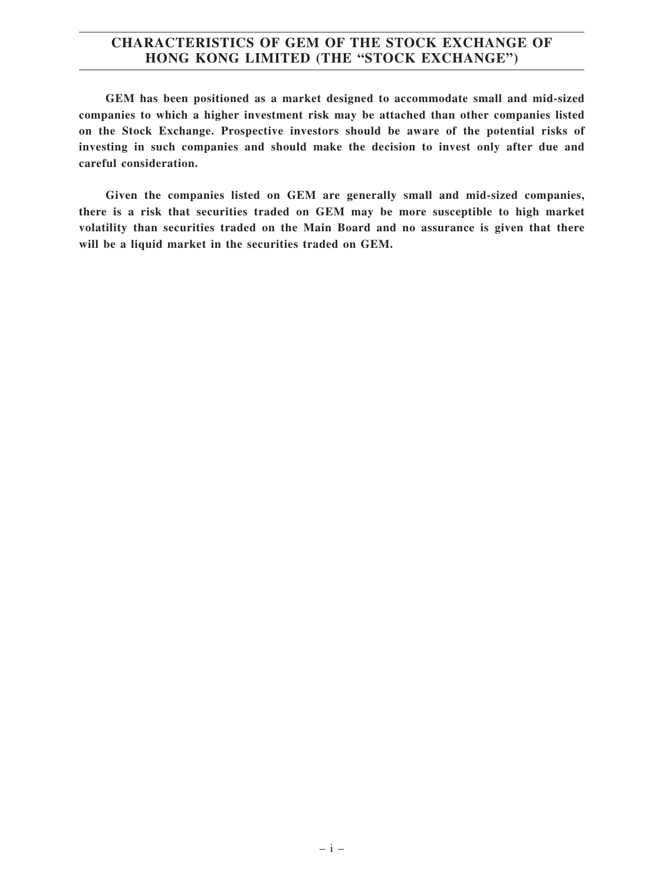#### **CHARACTERISTICS OF GEM OF THE STOCK EXCHANGE OF HONG KONG LIMITED (THE "STOCK EXCHANGE")**

**GEM has been positioned as a market designed to accommodate small and mid-sized companies to which a higher investment risk may be attached than other companies listed on the Stock Exchange. Prospective investors should be aware of the potential risks of investing in such companies and should make the decision to invest only after due and careful consideration.**

**Given the companies listed on GEM are generally small and mid-sized companies, there is a risk that securities traded on GEM may be more susceptible to high market volatility than securities traded on the Main Board and no assurance is given that there will be a liquid market in the securities traded on GEM.**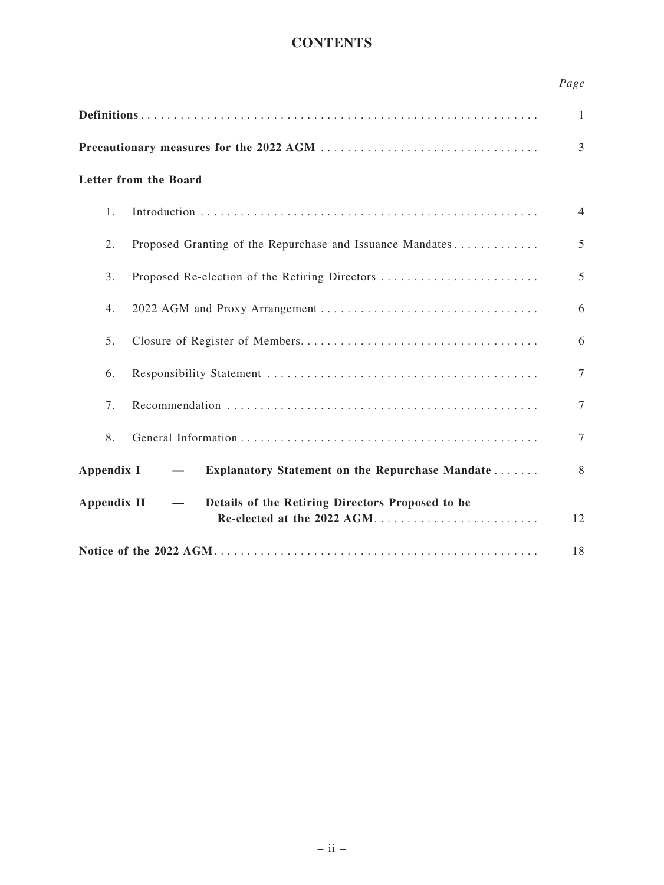## **CONTENTS**

#### *Page*

| Letter from the Board |                                                                                |                |  |  |
|-----------------------|--------------------------------------------------------------------------------|----------------|--|--|
| $\mathbf{1}$ .        |                                                                                | $\overline{4}$ |  |  |
| 2.                    | Proposed Granting of the Repurchase and Issuance Mandates                      | 5              |  |  |
| 3.                    | Proposed Re-election of the Retiring Directors                                 | 5              |  |  |
| 4.                    |                                                                                | 6              |  |  |
| 5.                    |                                                                                | 6              |  |  |
| 6.                    |                                                                                | $\overline{7}$ |  |  |
| 7.                    |                                                                                | $\tau$         |  |  |
| 8.                    |                                                                                | $\tau$         |  |  |
| Appendix I            | Explanatory Statement on the Repurchase Mandate                                | 8              |  |  |
| <b>Appendix II</b>    | Details of the Retiring Directors Proposed to be<br>Re-elected at the 2022 AGM | 12             |  |  |
|                       |                                                                                |                |  |  |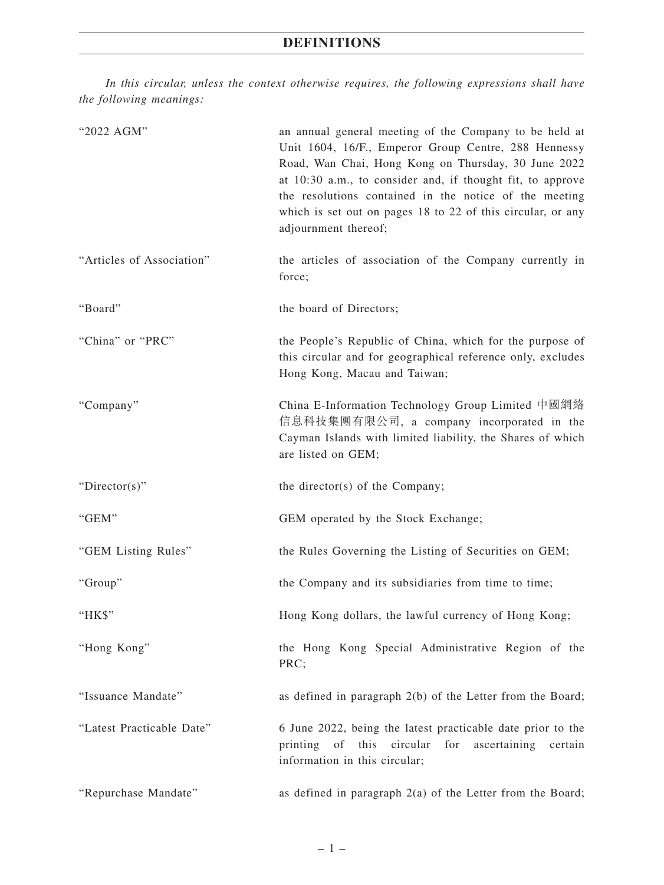*In this circular, unless the context otherwise requires, the following expressions shall have the following meanings:*

| "2022 AGM"                | an annual general meeting of the Company to be held at<br>Unit 1604, 16/F., Emperor Group Centre, 288 Hennessy<br>Road, Wan Chai, Hong Kong on Thursday, 30 June 2022<br>at 10:30 a.m., to consider and, if thought fit, to approve<br>the resolutions contained in the notice of the meeting<br>which is set out on pages 18 to 22 of this circular, or any<br>adjournment thereof; |  |  |
|---------------------------|--------------------------------------------------------------------------------------------------------------------------------------------------------------------------------------------------------------------------------------------------------------------------------------------------------------------------------------------------------------------------------------|--|--|
| "Articles of Association" | the articles of association of the Company currently in<br>force;                                                                                                                                                                                                                                                                                                                    |  |  |
| "Board"                   | the board of Directors;                                                                                                                                                                                                                                                                                                                                                              |  |  |
| "China" or "PRC"          | the People's Republic of China, which for the purpose of<br>this circular and for geographical reference only, excludes<br>Hong Kong, Macau and Taiwan;                                                                                                                                                                                                                              |  |  |
| "Company"                 | China E-Information Technology Group Limited 中國網絡<br>信息科技集團有限公司, a company incorporated in the<br>Cayman Islands with limited liability, the Shares of which<br>are listed on GEM;                                                                                                                                                                                                   |  |  |
| " $Directory$ "           | the director(s) of the Company;                                                                                                                                                                                                                                                                                                                                                      |  |  |
| "GEM"                     | GEM operated by the Stock Exchange;                                                                                                                                                                                                                                                                                                                                                  |  |  |
| "GEM Listing Rules"       | the Rules Governing the Listing of Securities on GEM;                                                                                                                                                                                                                                                                                                                                |  |  |
| "Group"                   | the Company and its subsidiaries from time to time;                                                                                                                                                                                                                                                                                                                                  |  |  |
| "HK\$"                    | Hong Kong dollars, the lawful currency of Hong Kong;                                                                                                                                                                                                                                                                                                                                 |  |  |
| "Hong Kong"               | the Hong Kong Special Administrative Region of the<br>PRC;                                                                                                                                                                                                                                                                                                                           |  |  |
| "Issuance Mandate"        | as defined in paragraph 2(b) of the Letter from the Board;                                                                                                                                                                                                                                                                                                                           |  |  |
| "Latest Practicable Date" | 6 June 2022, being the latest practicable date prior to the<br>printing of<br>this<br>circular<br>for<br>ascertaining<br>certain<br>information in this circular;                                                                                                                                                                                                                    |  |  |
| "Repurchase Mandate"      | as defined in paragraph $2(a)$ of the Letter from the Board;                                                                                                                                                                                                                                                                                                                         |  |  |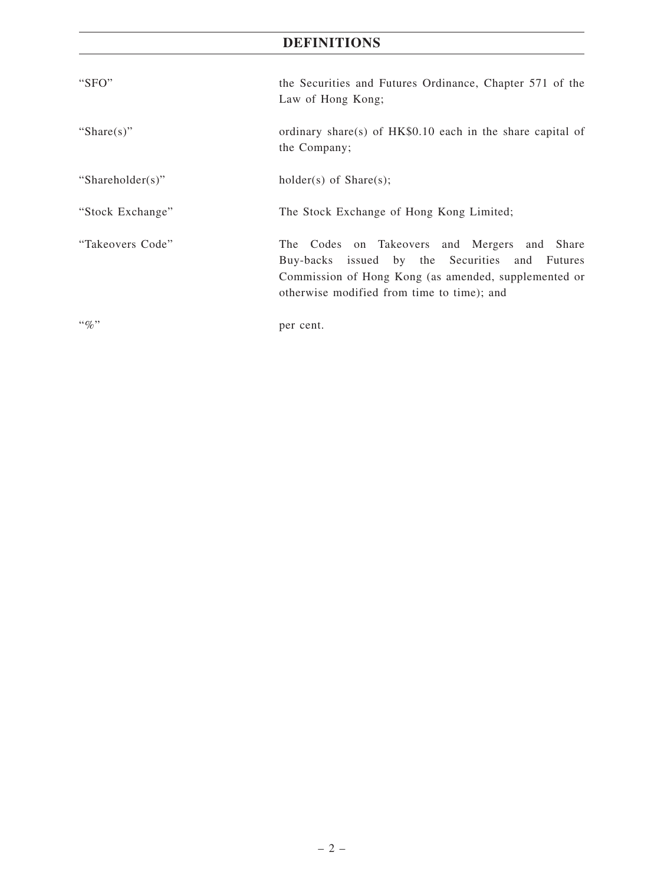# **DEFINITIONS**

| "SFO"            | the Securities and Futures Ordinance, Chapter 571 of the<br>Law of Hong Kong;                                                                                                                        |
|------------------|------------------------------------------------------------------------------------------------------------------------------------------------------------------------------------------------------|
| "Share $(s)$ "   | ordinary share(s) of $HK$0.10$ each in the share capital of<br>the Company;                                                                                                                          |
| "Shareholder(s)" | holder(s) of $Share(s);$                                                                                                                                                                             |
| "Stock Exchange" | The Stock Exchange of Hong Kong Limited;                                                                                                                                                             |
| "Takeovers Code" | The Codes on Takeovers and Mergers and Share<br>Buy-backs issued by the Securities and Futures<br>Commission of Hong Kong (as amended, supplemented or<br>otherwise modified from time to time); and |
| $``\%"$          | per cent.                                                                                                                                                                                            |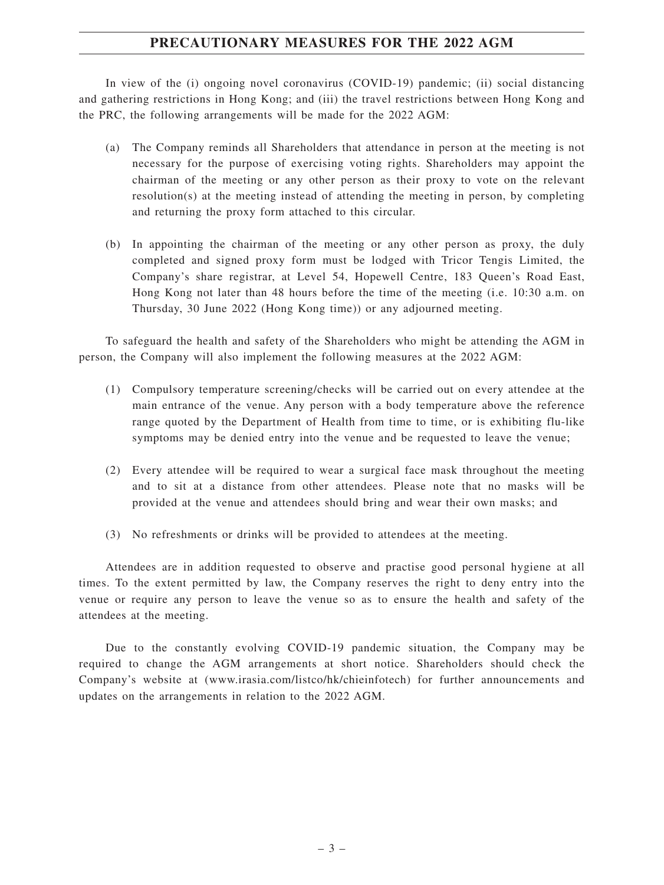### **PRECAUTIONARY MEASURES FOR THE 2022 AGM**

In view of the (i) ongoing novel coronavirus (COVID-19) pandemic; (ii) social distancing and gathering restrictions in Hong Kong; and (iii) the travel restrictions between Hong Kong and the PRC, the following arrangements will be made for the 2022 AGM:

- (a) The Company reminds all Shareholders that attendance in person at the meeting is not necessary for the purpose of exercising voting rights. Shareholders may appoint the chairman of the meeting or any other person as their proxy to vote on the relevant resolution(s) at the meeting instead of attending the meeting in person, by completing and returning the proxy form attached to this circular.
- (b) In appointing the chairman of the meeting or any other person as proxy, the duly completed and signed proxy form must be lodged with Tricor Tengis Limited, the Company's share registrar, at Level 54, Hopewell Centre, 183 Queen's Road East, Hong Kong not later than 48 hours before the time of the meeting (i.e. 10:30 a.m. on Thursday, 30 June 2022 (Hong Kong time)) or any adjourned meeting.

To safeguard the health and safety of the Shareholders who might be attending the AGM in person, the Company will also implement the following measures at the 2022 AGM:

- (1) Compulsory temperature screening/checks will be carried out on every attendee at the main entrance of the venue. Any person with a body temperature above the reference range quoted by the Department of Health from time to time, or is exhibiting flu-like symptoms may be denied entry into the venue and be requested to leave the venue;
- (2) Every attendee will be required to wear a surgical face mask throughout the meeting and to sit at a distance from other attendees. Please note that no masks will be provided at the venue and attendees should bring and wear their own masks; and
- (3) No refreshments or drinks will be provided to attendees at the meeting.

Attendees are in addition requested to observe and practise good personal hygiene at all times. To the extent permitted by law, the Company reserves the right to deny entry into the venue or require any person to leave the venue so as to ensure the health and safety of the attendees at the meeting.

Due to the constantly evolving COVID-19 pandemic situation, the Company may be required to change the AGM arrangements at short notice. Shareholders should check the Company's website at (www.irasia.com/listco/hk/chieinfotech) for further announcements and updates on the arrangements in relation to the 2022 AGM.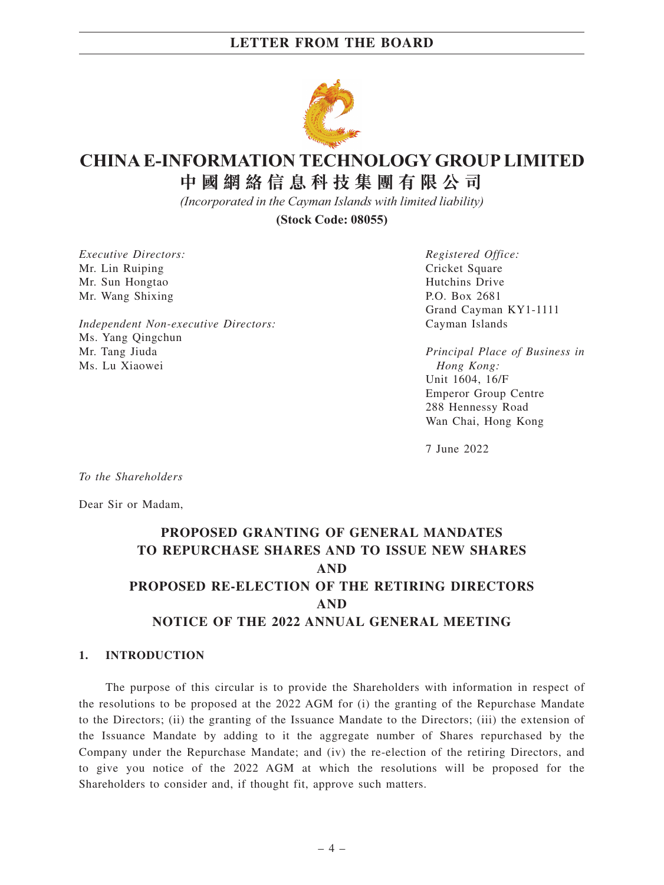

# **CHINA E-INFORMATION TECHNOLOGY GROUP LIMITED**

**中 國 網 絡 信 息 科 技 集 團 有 限 公 司**

*(Incorporated in the Cayman Islands with limited liability)*

**(Stock Code: 08055)**

*Executive Directors:* Mr. Lin Ruiping Mr. Sun Hongtao Mr. Wang Shixing

*Independent Non-executive Directors:* Ms. Yang Qingchun Mr. Tang Jiuda Ms. Lu Xiaowei

*Registered Office:* Cricket Square Hutchins Drive P.O. Box 2681 Grand Cayman KY1-1111 Cayman Islands

*Principal Place of Business in Hong Kong:* Unit 1604, 16/F Emperor Group Centre 288 Hennessy Road Wan Chai, Hong Kong

7 June 2022

*To the Shareholders*

Dear Sir or Madam,

# **PROPOSED GRANTING OF GENERAL MANDATES TO REPURCHASE SHARES AND TO ISSUE NEW SHARES AND PROPOSED RE-ELECTION OF THE RETIRING DIRECTORS AND NOTICE OF THE 2022 ANNUAL GENERAL MEETING**

#### **1. INTRODUCTION**

The purpose of this circular is to provide the Shareholders with information in respect of the resolutions to be proposed at the 2022 AGM for (i) the granting of the Repurchase Mandate to the Directors; (ii) the granting of the Issuance Mandate to the Directors; (iii) the extension of the Issuance Mandate by adding to it the aggregate number of Shares repurchased by the Company under the Repurchase Mandate; and (iv) the re-election of the retiring Directors, and to give you notice of the 2022 AGM at which the resolutions will be proposed for the Shareholders to consider and, if thought fit, approve such matters.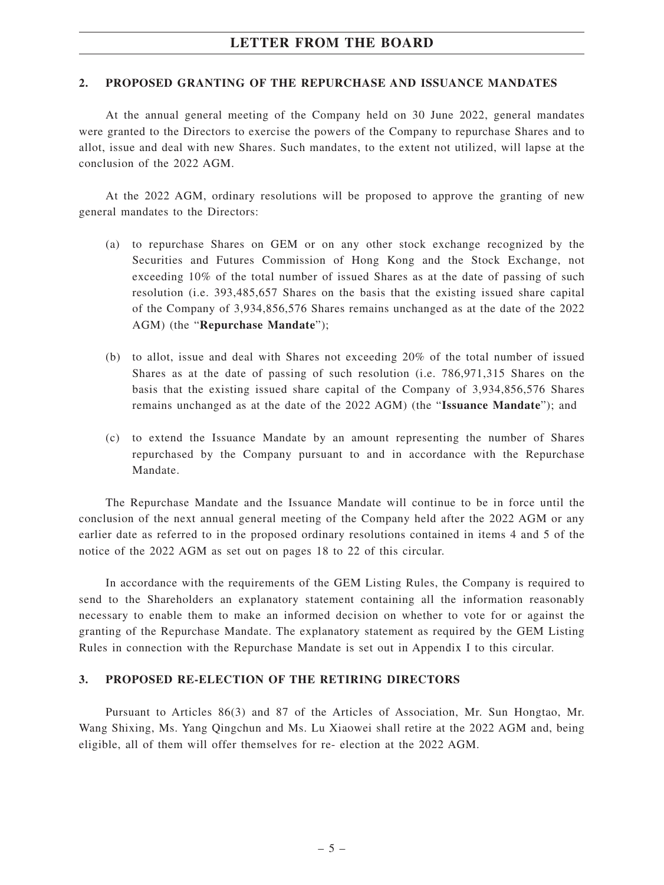#### **2. PROPOSED GRANTING OF THE REPURCHASE AND ISSUANCE MANDATES**

At the annual general meeting of the Company held on 30 June 2022, general mandates were granted to the Directors to exercise the powers of the Company to repurchase Shares and to allot, issue and deal with new Shares. Such mandates, to the extent not utilized, will lapse at the conclusion of the 2022 AGM.

At the 2022 AGM, ordinary resolutions will be proposed to approve the granting of new general mandates to the Directors:

- (a) to repurchase Shares on GEM or on any other stock exchange recognized by the Securities and Futures Commission of Hong Kong and the Stock Exchange, not exceeding 10% of the total number of issued Shares as at the date of passing of such resolution (i.e. 393,485,657 Shares on the basis that the existing issued share capital of the Company of 3,934,856,576 Shares remains unchanged as at the date of the 2022 AGM) (the "**Repurchase Mandate**");
- (b) to allot, issue and deal with Shares not exceeding 20% of the total number of issued Shares as at the date of passing of such resolution (i.e. 786,971,315 Shares on the basis that the existing issued share capital of the Company of 3,934,856,576 Shares remains unchanged as at the date of the 2022 AGM) (the "**Issuance Mandate**"); and
- (c) to extend the Issuance Mandate by an amount representing the number of Shares repurchased by the Company pursuant to and in accordance with the Repurchase Mandate.

The Repurchase Mandate and the Issuance Mandate will continue to be in force until the conclusion of the next annual general meeting of the Company held after the 2022 AGM or any earlier date as referred to in the proposed ordinary resolutions contained in items 4 and 5 of the notice of the 2022 AGM as set out on pages 18 to 22 of this circular.

In accordance with the requirements of the GEM Listing Rules, the Company is required to send to the Shareholders an explanatory statement containing all the information reasonably necessary to enable them to make an informed decision on whether to vote for or against the granting of the Repurchase Mandate. The explanatory statement as required by the GEM Listing Rules in connection with the Repurchase Mandate is set out in Appendix I to this circular.

#### **3. PROPOSED RE-ELECTION OF THE RETIRING DIRECTORS**

Pursuant to Articles 86(3) and 87 of the Articles of Association, Mr. Sun Hongtao, Mr. Wang Shixing, Ms. Yang Qingchun and Ms. Lu Xiaowei shall retire at the 2022 AGM and, being eligible, all of them will offer themselves for re- election at the 2022 AGM.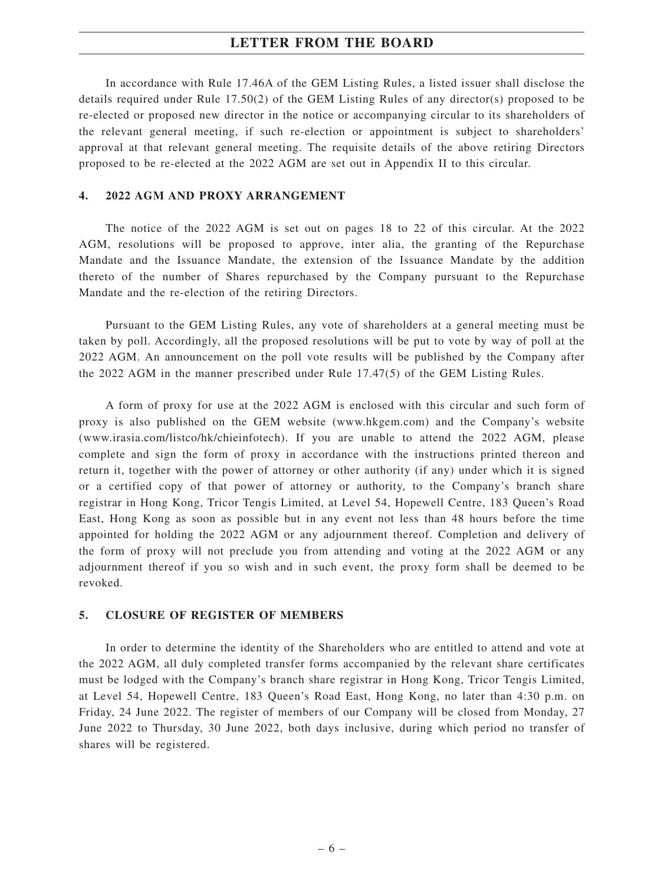In accordance with Rule 17.46A of the GEM Listing Rules, a listed issuer shall disclose the details required under Rule 17.50(2) of the GEM Listing Rules of any director(s) proposed to be re-elected or proposed new director in the notice or accompanying circular to its shareholders of the relevant general meeting, if such re-election or appointment is subject to shareholders' approval at that relevant general meeting. The requisite details of the above retiring Directors proposed to be re-elected at the 2022 AGM are set out in Appendix II to this circular.

#### **4. 2022 AGM AND PROXY ARRANGEMENT**

The notice of the 2022 AGM is set out on pages 18 to 22 of this circular. At the 2022 AGM, resolutions will be proposed to approve, inter alia, the granting of the Repurchase Mandate and the Issuance Mandate, the extension of the Issuance Mandate by the addition thereto of the number of Shares repurchased by the Company pursuant to the Repurchase Mandate and the re-election of the retiring Directors.

Pursuant to the GEM Listing Rules, any vote of shareholders at a general meeting must be taken by poll. Accordingly, all the proposed resolutions will be put to vote by way of poll at the 2022 AGM. An announcement on the poll vote results will be published by the Company after the 2022 AGM in the manner prescribed under Rule 17.47(5) of the GEM Listing Rules.

A form of proxy for use at the 2022 AGM is enclosed with this circular and such form of proxy is also published on the GEM website (www.hkgem.com) and the Company's website (www.irasia.com/listco/hk/chieinfotech). If you are unable to attend the 2022 AGM, please complete and sign the form of proxy in accordance with the instructions printed thereon and return it, together with the power of attorney or other authority (if any) under which it is signed or a certified copy of that power of attorney or authority, to the Company's branch share registrar in Hong Kong, Tricor Tengis Limited, at Level 54, Hopewell Centre, 183 Queen's Road East, Hong Kong as soon as possible but in any event not less than 48 hours before the time appointed for holding the 2022 AGM or any adjournment thereof. Completion and delivery of the form of proxy will not preclude you from attending and voting at the 2022 AGM or any adjournment thereof if you so wish and in such event, the proxy form shall be deemed to be revoked.

#### **5. CLOSURE OF REGISTER OF MEMBERS**

In order to determine the identity of the Shareholders who are entitled to attend and vote at the 2022 AGM, all duly completed transfer forms accompanied by the relevant share certificates must be lodged with the Company's branch share registrar in Hong Kong, Tricor Tengis Limited, at Level 54, Hopewell Centre, 183 Queen's Road East, Hong Kong, no later than 4:30 p.m. on Friday, 24 June 2022. The register of members of our Company will be closed from Monday, 27 June 2022 to Thursday, 30 June 2022, both days inclusive, during which period no transfer of shares will be registered.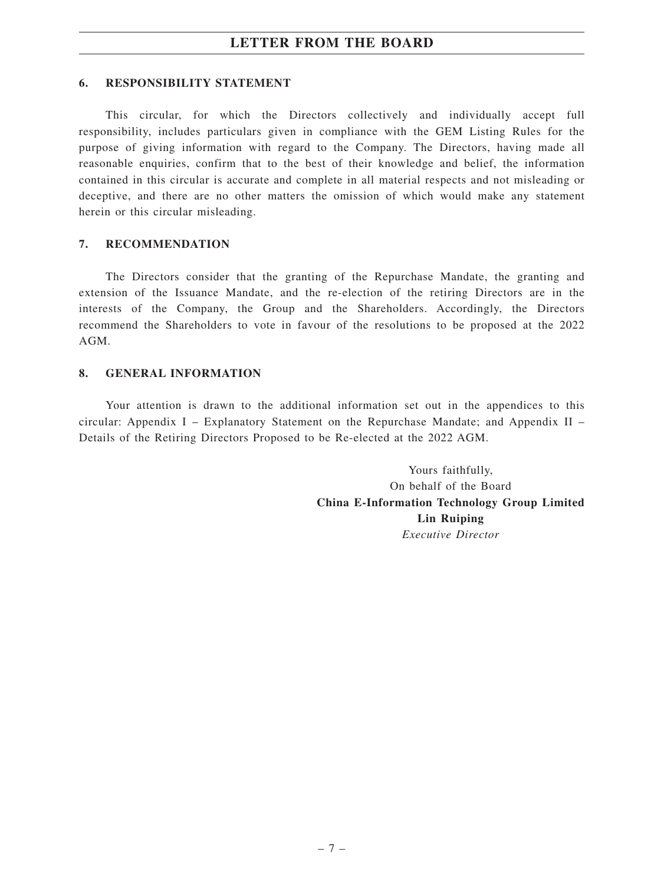#### **6. RESPONSIBILITY STATEMENT**

This circular, for which the Directors collectively and individually accept full responsibility, includes particulars given in compliance with the GEM Listing Rules for the purpose of giving information with regard to the Company. The Directors, having made all reasonable enquiries, confirm that to the best of their knowledge and belief, the information contained in this circular is accurate and complete in all material respects and not misleading or deceptive, and there are no other matters the omission of which would make any statement herein or this circular misleading.

#### **7. RECOMMENDATION**

The Directors consider that the granting of the Repurchase Mandate, the granting and extension of the Issuance Mandate, and the re-election of the retiring Directors are in the interests of the Company, the Group and the Shareholders. Accordingly, the Directors recommend the Shareholders to vote in favour of the resolutions to be proposed at the 2022 AGM.

#### **8. GENERAL INFORMATION**

Your attention is drawn to the additional information set out in the appendices to this circular: Appendix I – Explanatory Statement on the Repurchase Mandate; and Appendix II – Details of the Retiring Directors Proposed to be Re-elected at the 2022 AGM.

> Yours faithfully, On behalf of the Board **China E-Information Technology Group Limited Lin Ruiping** *Executive Director*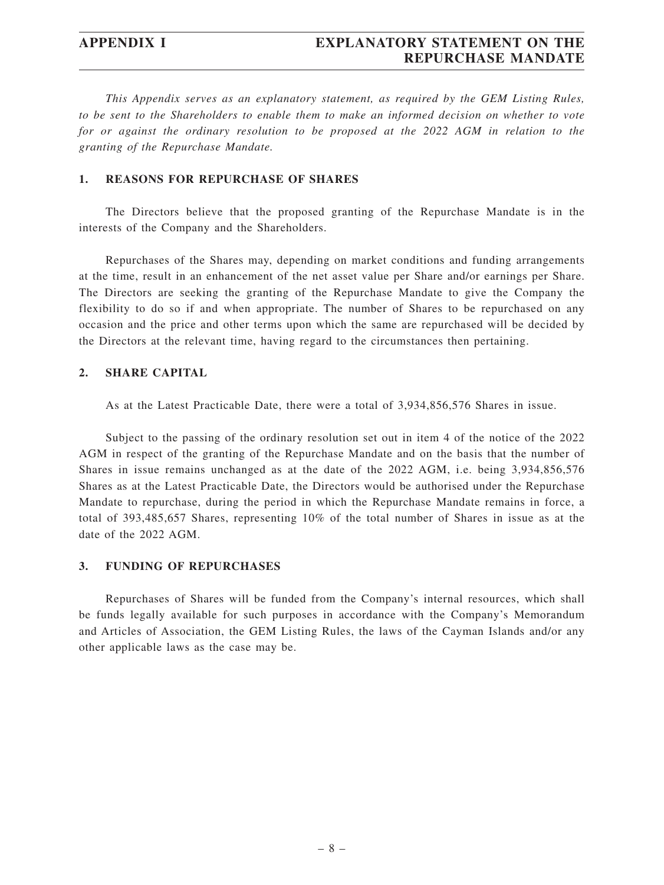*This Appendix serves as an explanatory statement, as required by the GEM Listing Rules, to be sent to the Shareholders to enable them to make an informed decision on whether to vote for or against the ordinary resolution to be proposed at the 2022 AGM in relation to the granting of the Repurchase Mandate.*

#### **1. REASONS FOR REPURCHASE OF SHARES**

The Directors believe that the proposed granting of the Repurchase Mandate is in the interests of the Company and the Shareholders.

Repurchases of the Shares may, depending on market conditions and funding arrangements at the time, result in an enhancement of the net asset value per Share and/or earnings per Share. The Directors are seeking the granting of the Repurchase Mandate to give the Company the flexibility to do so if and when appropriate. The number of Shares to be repurchased on any occasion and the price and other terms upon which the same are repurchased will be decided by the Directors at the relevant time, having regard to the circumstances then pertaining.

#### **2. SHARE CAPITAL**

As at the Latest Practicable Date, there were a total of 3,934,856,576 Shares in issue.

Subject to the passing of the ordinary resolution set out in item 4 of the notice of the 2022 AGM in respect of the granting of the Repurchase Mandate and on the basis that the number of Shares in issue remains unchanged as at the date of the 2022 AGM, i.e. being 3,934,856,576 Shares as at the Latest Practicable Date, the Directors would be authorised under the Repurchase Mandate to repurchase, during the period in which the Repurchase Mandate remains in force, a total of 393,485,657 Shares, representing 10% of the total number of Shares in issue as at the date of the 2022 AGM.

#### **3. FUNDING OF REPURCHASES**

Repurchases of Shares will be funded from the Company's internal resources, which shall be funds legally available for such purposes in accordance with the Company's Memorandum and Articles of Association, the GEM Listing Rules, the laws of the Cayman Islands and/or any other applicable laws as the case may be.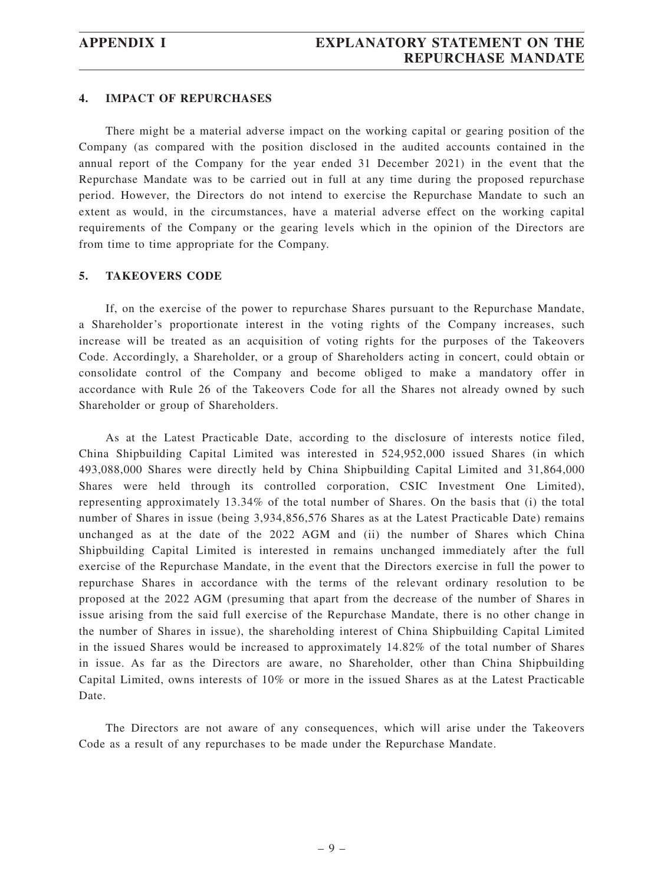#### **4. IMPACT OF REPURCHASES**

There might be a material adverse impact on the working capital or gearing position of the Company (as compared with the position disclosed in the audited accounts contained in the annual report of the Company for the year ended 31 December 2021) in the event that the Repurchase Mandate was to be carried out in full at any time during the proposed repurchase period. However, the Directors do not intend to exercise the Repurchase Mandate to such an extent as would, in the circumstances, have a material adverse effect on the working capital requirements of the Company or the gearing levels which in the opinion of the Directors are from time to time appropriate for the Company.

#### **5. TAKEOVERS CODE**

If, on the exercise of the power to repurchase Shares pursuant to the Repurchase Mandate, a Shareholder's proportionate interest in the voting rights of the Company increases, such increase will be treated as an acquisition of voting rights for the purposes of the Takeovers Code. Accordingly, a Shareholder, or a group of Shareholders acting in concert, could obtain or consolidate control of the Company and become obliged to make a mandatory offer in accordance with Rule 26 of the Takeovers Code for all the Shares not already owned by such Shareholder or group of Shareholders.

As at the Latest Practicable Date, according to the disclosure of interests notice filed, China Shipbuilding Capital Limited was interested in 524,952,000 issued Shares (in which 493,088,000 Shares were directly held by China Shipbuilding Capital Limited and 31,864,000 Shares were held through its controlled corporation, CSIC Investment One Limited), representing approximately 13.34% of the total number of Shares. On the basis that (i) the total number of Shares in issue (being 3,934,856,576 Shares as at the Latest Practicable Date) remains unchanged as at the date of the 2022 AGM and (ii) the number of Shares which China Shipbuilding Capital Limited is interested in remains unchanged immediately after the full exercise of the Repurchase Mandate, in the event that the Directors exercise in full the power to repurchase Shares in accordance with the terms of the relevant ordinary resolution to be proposed at the 2022 AGM (presuming that apart from the decrease of the number of Shares in issue arising from the said full exercise of the Repurchase Mandate, there is no other change in the number of Shares in issue), the shareholding interest of China Shipbuilding Capital Limited in the issued Shares would be increased to approximately 14.82% of the total number of Shares in issue. As far as the Directors are aware, no Shareholder, other than China Shipbuilding Capital Limited, owns interests of 10% or more in the issued Shares as at the Latest Practicable Date.

The Directors are not aware of any consequences, which will arise under the Takeovers Code as a result of any repurchases to be made under the Repurchase Mandate.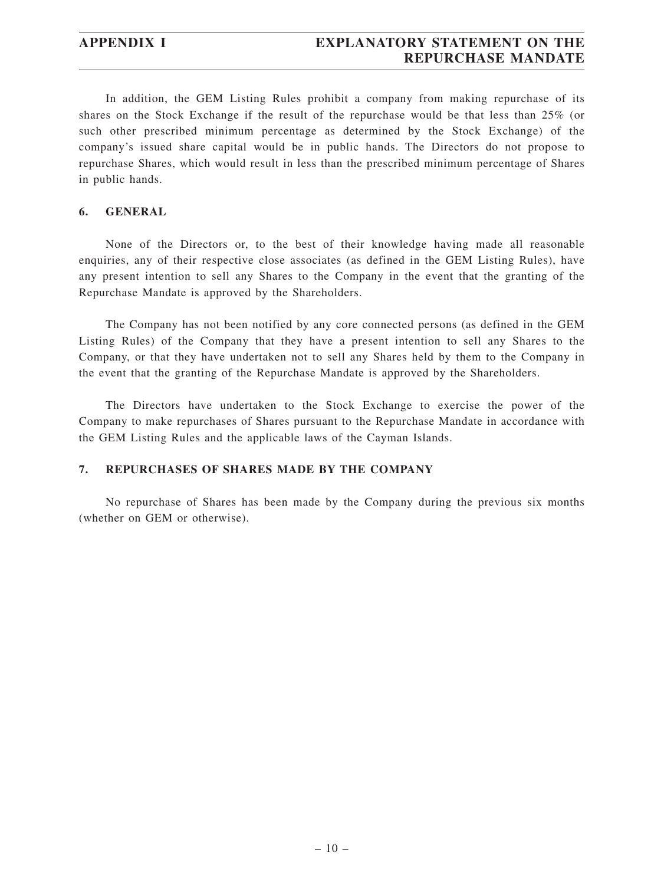In addition, the GEM Listing Rules prohibit a company from making repurchase of its shares on the Stock Exchange if the result of the repurchase would be that less than 25% (or such other prescribed minimum percentage as determined by the Stock Exchange) of the company's issued share capital would be in public hands. The Directors do not propose to repurchase Shares, which would result in less than the prescribed minimum percentage of Shares in public hands.

#### **6. GENERAL**

None of the Directors or, to the best of their knowledge having made all reasonable enquiries, any of their respective close associates (as defined in the GEM Listing Rules), have any present intention to sell any Shares to the Company in the event that the granting of the Repurchase Mandate is approved by the Shareholders.

The Company has not been notified by any core connected persons (as defined in the GEM Listing Rules) of the Company that they have a present intention to sell any Shares to the Company, or that they have undertaken not to sell any Shares held by them to the Company in the event that the granting of the Repurchase Mandate is approved by the Shareholders.

The Directors have undertaken to the Stock Exchange to exercise the power of the Company to make repurchases of Shares pursuant to the Repurchase Mandate in accordance with the GEM Listing Rules and the applicable laws of the Cayman Islands.

#### **7. REPURCHASES OF SHARES MADE BY THE COMPANY**

No repurchase of Shares has been made by the Company during the previous six months (whether on GEM or otherwise).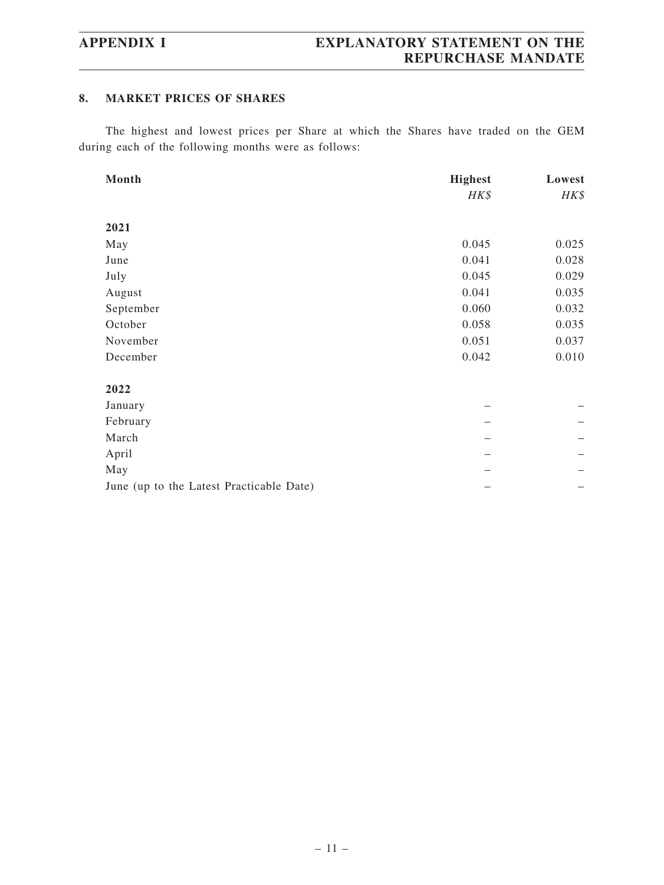#### **8. MARKET PRICES OF SHARES**

The highest and lowest prices per Share at which the Shares have traded on the GEM during each of the following months were as follows:

| Month                                    | <b>Highest</b> | Lowest |
|------------------------------------------|----------------|--------|
|                                          | HK\$           | HK\$   |
|                                          |                |        |
| 2021                                     |                |        |
| May                                      | 0.045          | 0.025  |
| June                                     | 0.041          | 0.028  |
| July                                     | 0.045          | 0.029  |
| August                                   | 0.041          | 0.035  |
| September                                | 0.060          | 0.032  |
| October                                  | 0.058          | 0.035  |
| November                                 | 0.051          | 0.037  |
| December                                 | 0.042          | 0.010  |
|                                          |                |        |
| 2022                                     |                |        |
| January                                  |                |        |
| February                                 |                |        |
| March                                    |                |        |
| April                                    |                |        |
| May                                      |                |        |
| June (up to the Latest Practicable Date) |                |        |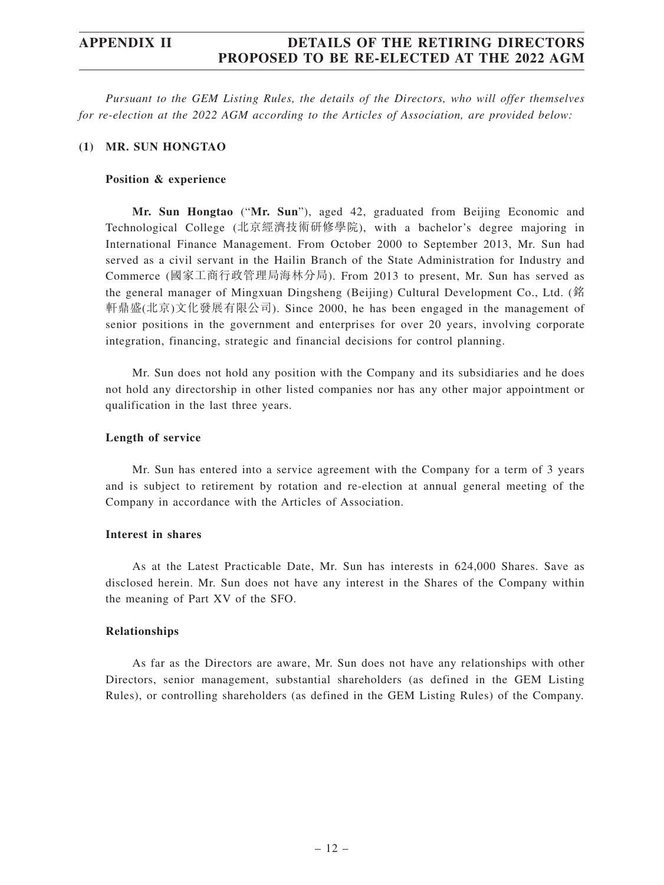*Pursuant to the GEM Listing Rules, the details of the Directors, who will offer themselves for re-election at the 2022 AGM according to the Articles of Association, are provided below:*

#### **(1) MR. SUN HONGTAO**

#### **Position & experience**

**Mr. Sun Hongtao** ("**Mr. Sun**"), aged 42, graduated from Beijing Economic and Technological College (北京經濟技術研修學院), with a bachelor's degree majoring in International Finance Management. From October 2000 to September 2013, Mr. Sun had served as a civil servant in the Hailin Branch of the State Administration for Industry and Commerce (國家工商行政管理局海林分局). From 2013 to present, Mr. Sun has served as the general manager of Mingxuan Dingsheng (Beijing) Cultural Development Co., Ltd. (銘 軒鼎盛(北京)文化發展有限公司). Since 2000, he has been engaged in the management of senior positions in the government and enterprises for over 20 years, involving corporate integration, financing, strategic and financial decisions for control planning.

Mr. Sun does not hold any position with the Company and its subsidiaries and he does not hold any directorship in other listed companies nor has any other major appointment or qualification in the last three years.

#### **Length of service**

Mr. Sun has entered into a service agreement with the Company for a term of 3 years and is subject to retirement by rotation and re-election at annual general meeting of the Company in accordance with the Articles of Association.

#### **Interest in shares**

As at the Latest Practicable Date, Mr. Sun has interests in 624,000 Shares. Save as disclosed herein. Mr. Sun does not have any interest in the Shares of the Company within the meaning of Part XV of the SFO.

#### **Relationships**

As far as the Directors are aware, Mr. Sun does not have any relationships with other Directors, senior management, substantial shareholders (as defined in the GEM Listing Rules), or controlling shareholders (as defined in the GEM Listing Rules) of the Company.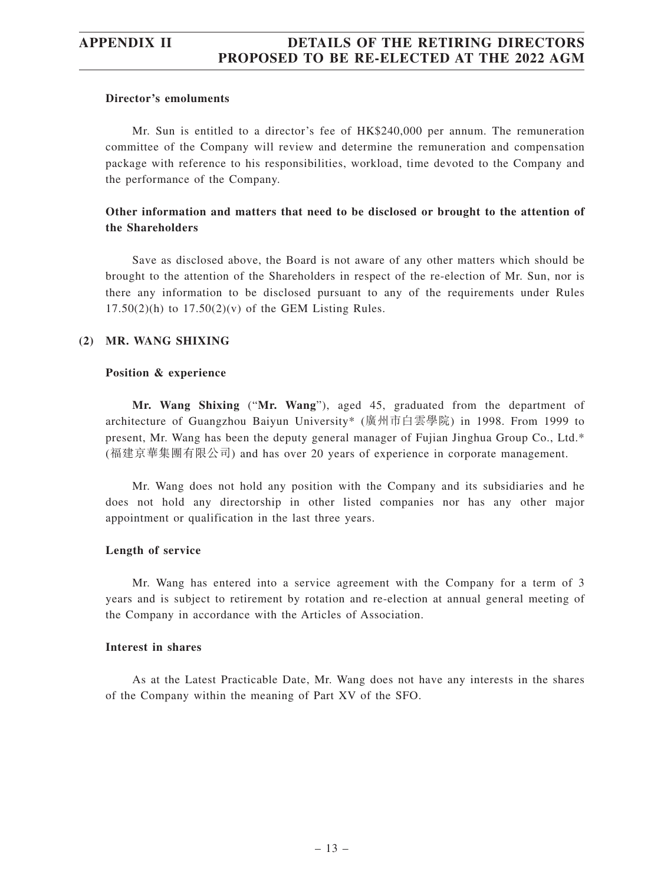#### **Director's emoluments**

Mr. Sun is entitled to a director's fee of HK\$240,000 per annum. The remuneration committee of the Company will review and determine the remuneration and compensation package with reference to his responsibilities, workload, time devoted to the Company and the performance of the Company.

#### **Other information and matters that need to be disclosed or brought to the attention of the Shareholders**

Save as disclosed above, the Board is not aware of any other matters which should be brought to the attention of the Shareholders in respect of the re-election of Mr. Sun, nor is there any information to be disclosed pursuant to any of the requirements under Rules  $17.50(2)(h)$  to  $17.50(2)(v)$  of the GEM Listing Rules.

#### **(2) MR. WANG SHIXING**

#### **Position & experience**

**Mr. Wang Shixing** ("**Mr. Wang**"), aged 45, graduated from the department of architecture of Guangzhou Baiyun University\* (廣州市白雲學院) in 1998. From 1999 to present, Mr. Wang has been the deputy general manager of Fujian Jinghua Group Co., Ltd.\* (福建京華集團有限公司) and has over 20 years of experience in corporate management.

Mr. Wang does not hold any position with the Company and its subsidiaries and he does not hold any directorship in other listed companies nor has any other major appointment or qualification in the last three years.

#### **Length of service**

Mr. Wang has entered into a service agreement with the Company for a term of 3 years and is subject to retirement by rotation and re-election at annual general meeting of the Company in accordance with the Articles of Association.

#### **Interest in shares**

As at the Latest Practicable Date, Mr. Wang does not have any interests in the shares of the Company within the meaning of Part XV of the SFO.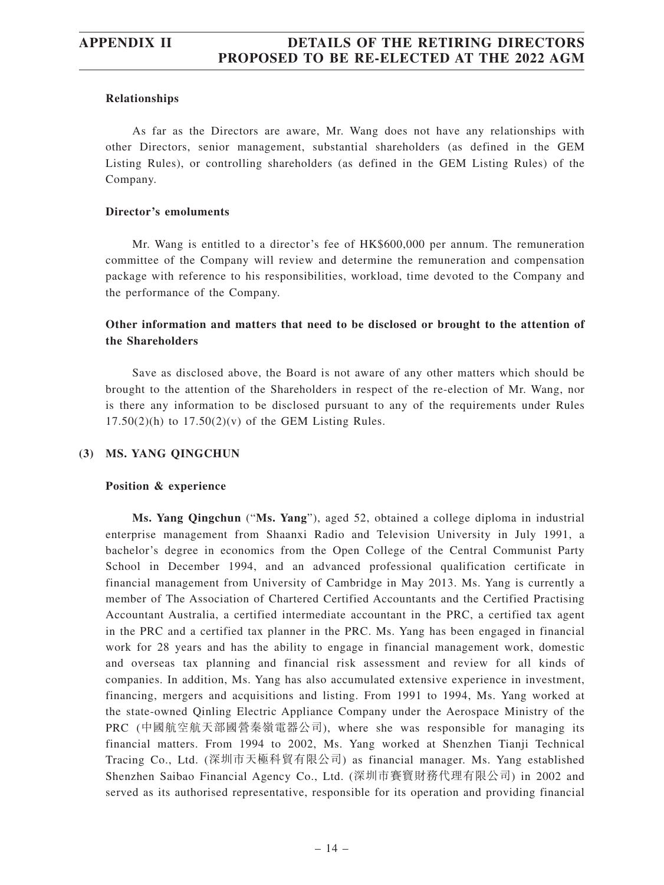#### **Relationships**

As far as the Directors are aware, Mr. Wang does not have any relationships with other Directors, senior management, substantial shareholders (as defined in the GEM Listing Rules), or controlling shareholders (as defined in the GEM Listing Rules) of the Company.

#### **Director's emoluments**

Mr. Wang is entitled to a director's fee of HK\$600,000 per annum. The remuneration committee of the Company will review and determine the remuneration and compensation package with reference to his responsibilities, workload, time devoted to the Company and the performance of the Company.

#### **Other information and matters that need to be disclosed or brought to the attention of the Shareholders**

Save as disclosed above, the Board is not aware of any other matters which should be brought to the attention of the Shareholders in respect of the re-election of Mr. Wang, nor is there any information to be disclosed pursuant to any of the requirements under Rules  $17.50(2)$ (h) to  $17.50(2)$ (v) of the GEM Listing Rules.

#### **(3) MS. YANG QINGCHUN**

#### **Position & experience**

**Ms. Yang Qingchun** ("**Ms. Yang**"), aged 52, obtained a college diploma in industrial enterprise management from Shaanxi Radio and Television University in July 1991, a bachelor's degree in economics from the Open College of the Central Communist Party School in December 1994, and an advanced professional qualification certificate in financial management from University of Cambridge in May 2013. Ms. Yang is currently a member of The Association of Chartered Certified Accountants and the Certified Practising Accountant Australia, a certified intermediate accountant in the PRC, a certified tax agent in the PRC and a certified tax planner in the PRC. Ms. Yang has been engaged in financial work for 28 years and has the ability to engage in financial management work, domestic and overseas tax planning and financial risk assessment and review for all kinds of companies. In addition, Ms. Yang has also accumulated extensive experience in investment, financing, mergers and acquisitions and listing. From 1991 to 1994, Ms. Yang worked at the state-owned Qinling Electric Appliance Company under the Aerospace Ministry of the PRC (中國航空航天部國營秦嶺電器公司), where she was responsible for managing its financial matters. From 1994 to 2002, Ms. Yang worked at Shenzhen Tianji Technical Tracing Co., Ltd. (深圳市天極科貿有限公司) as financial manager. Ms. Yang established Shenzhen Saibao Financial Agency Co., Ltd. (深圳市賽寶財務代理有限公司) in 2002 and served as its authorised representative, responsible for its operation and providing financial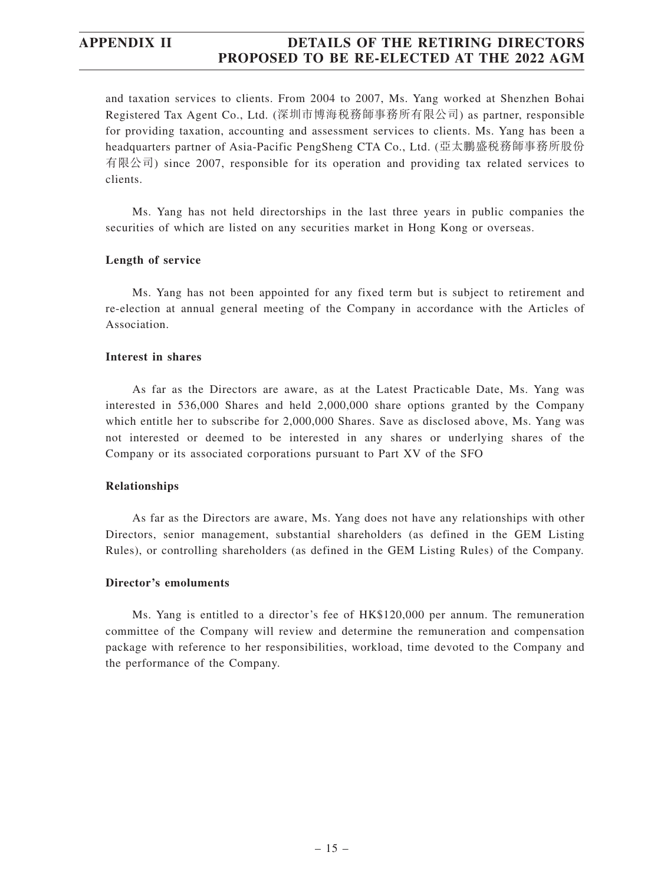and taxation services to clients. From 2004 to 2007, Ms. Yang worked at Shenzhen Bohai Registered Tax Agent Co., Ltd. (深圳市博海稅務師事務所有限公司) as partner, responsible for providing taxation, accounting and assessment services to clients. Ms. Yang has been a headquarters partner of Asia-Pacific PengSheng CTA Co., Ltd. (亞太鵬盛稅務師事務所股份 有限公司) since 2007, responsible for its operation and providing tax related services to clients.

Ms. Yang has not held directorships in the last three years in public companies the securities of which are listed on any securities market in Hong Kong or overseas.

#### **Length of service**

Ms. Yang has not been appointed for any fixed term but is subject to retirement and re-election at annual general meeting of the Company in accordance with the Articles of Association.

#### **Interest in shares**

As far as the Directors are aware, as at the Latest Practicable Date, Ms. Yang was interested in 536,000 Shares and held 2,000,000 share options granted by the Company which entitle her to subscribe for 2,000,000 Shares. Save as disclosed above, Ms. Yang was not interested or deemed to be interested in any shares or underlying shares of the Company or its associated corporations pursuant to Part XV of the SFO

#### **Relationships**

As far as the Directors are aware, Ms. Yang does not have any relationships with other Directors, senior management, substantial shareholders (as defined in the GEM Listing Rules), or controlling shareholders (as defined in the GEM Listing Rules) of the Company.

#### **Director's emoluments**

Ms. Yang is entitled to a director's fee of HK\$120,000 per annum. The remuneration committee of the Company will review and determine the remuneration and compensation package with reference to her responsibilities, workload, time devoted to the Company and the performance of the Company.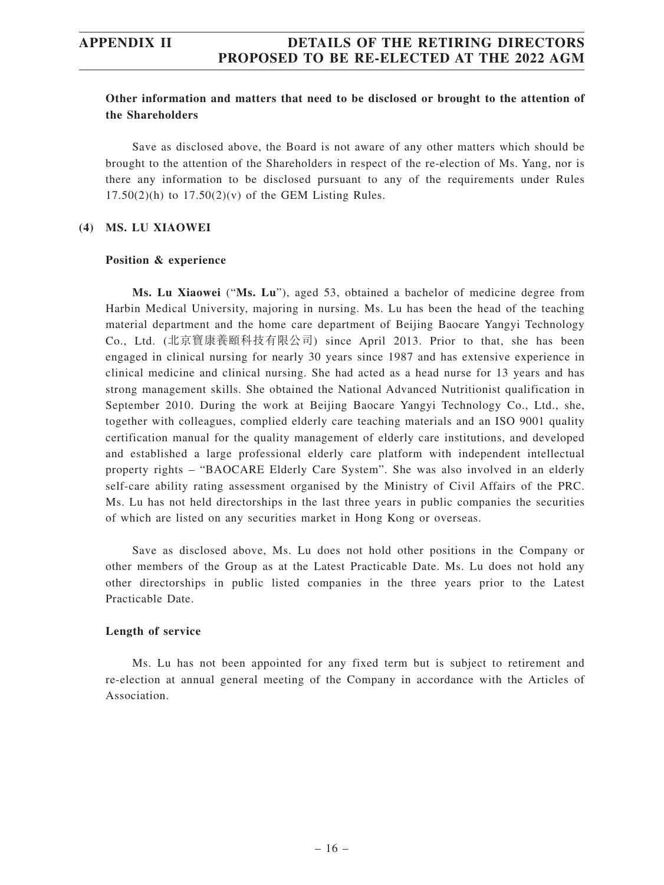#### **Other information and matters that need to be disclosed or brought to the attention of the Shareholders**

Save as disclosed above, the Board is not aware of any other matters which should be brought to the attention of the Shareholders in respect of the re-election of Ms. Yang, nor is there any information to be disclosed pursuant to any of the requirements under Rules  $17.50(2)(h)$  to  $17.50(2)(v)$  of the GEM Listing Rules.

#### **(4) MS. LU XIAOWEI**

#### **Position & experience**

**Ms. Lu Xiaowei** ("**Ms. Lu**"), aged 53, obtained a bachelor of medicine degree from Harbin Medical University, majoring in nursing. Ms. Lu has been the head of the teaching material department and the home care department of Beijing Baocare Yangyi Technology Co., Ltd. (北京寶康養頤科技有限公司) since April 2013. Prior to that, she has been engaged in clinical nursing for nearly 30 years since 1987 and has extensive experience in clinical medicine and clinical nursing. She had acted as a head nurse for 13 years and has strong management skills. She obtained the National Advanced Nutritionist qualification in September 2010. During the work at Beijing Baocare Yangyi Technology Co., Ltd., she, together with colleagues, complied elderly care teaching materials and an ISO 9001 quality certification manual for the quality management of elderly care institutions, and developed and established a large professional elderly care platform with independent intellectual property rights – "BAOCARE Elderly Care System". She was also involved in an elderly self-care ability rating assessment organised by the Ministry of Civil Affairs of the PRC. Ms. Lu has not held directorships in the last three years in public companies the securities of which are listed on any securities market in Hong Kong or overseas.

Save as disclosed above, Ms. Lu does not hold other positions in the Company or other members of the Group as at the Latest Practicable Date. Ms. Lu does not hold any other directorships in public listed companies in the three years prior to the Latest Practicable Date.

#### **Length of service**

Ms. Lu has not been appointed for any fixed term but is subject to retirement and re-election at annual general meeting of the Company in accordance with the Articles of Association.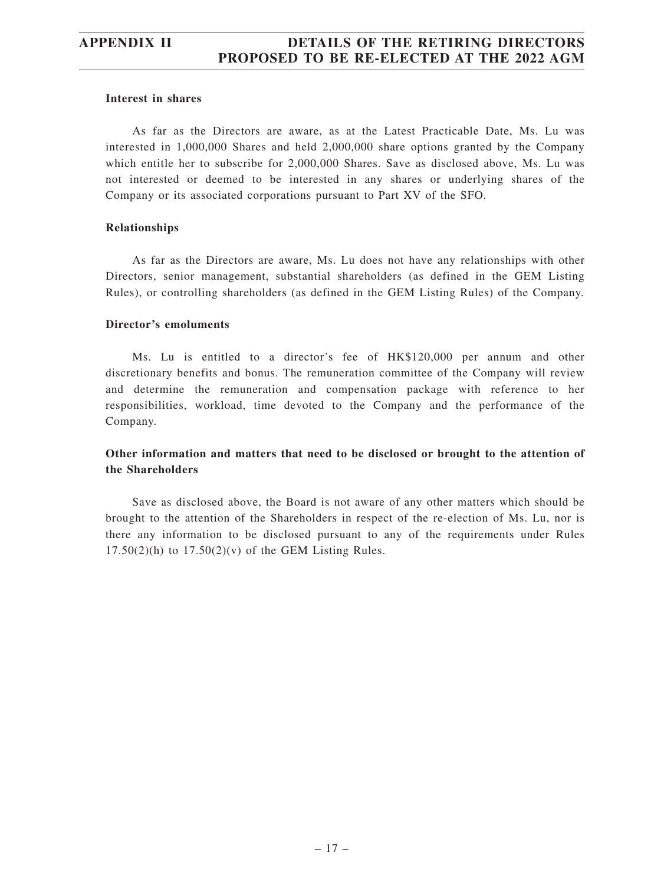#### **Interest in shares**

As far as the Directors are aware, as at the Latest Practicable Date, Ms. Lu was interested in 1,000,000 Shares and held 2,000,000 share options granted by the Company which entitle her to subscribe for 2,000,000 Shares. Save as disclosed above, Ms. Lu was not interested or deemed to be interested in any shares or underlying shares of the Company or its associated corporations pursuant to Part XV of the SFO.

#### **Relationships**

As far as the Directors are aware, Ms. Lu does not have any relationships with other Directors, senior management, substantial shareholders (as defined in the GEM Listing Rules), or controlling shareholders (as defined in the GEM Listing Rules) of the Company.

#### **Director's emoluments**

Ms. Lu is entitled to a director's fee of HK\$120,000 per annum and other discretionary benefits and bonus. The remuneration committee of the Company will review and determine the remuneration and compensation package with reference to her responsibilities, workload, time devoted to the Company and the performance of the Company.

#### **Other information and matters that need to be disclosed or brought to the attention of the Shareholders**

Save as disclosed above, the Board is not aware of any other matters which should be brought to the attention of the Shareholders in respect of the re-election of Ms. Lu, nor is there any information to be disclosed pursuant to any of the requirements under Rules  $17.50(2)(h)$  to  $17.50(2)(v)$  of the GEM Listing Rules.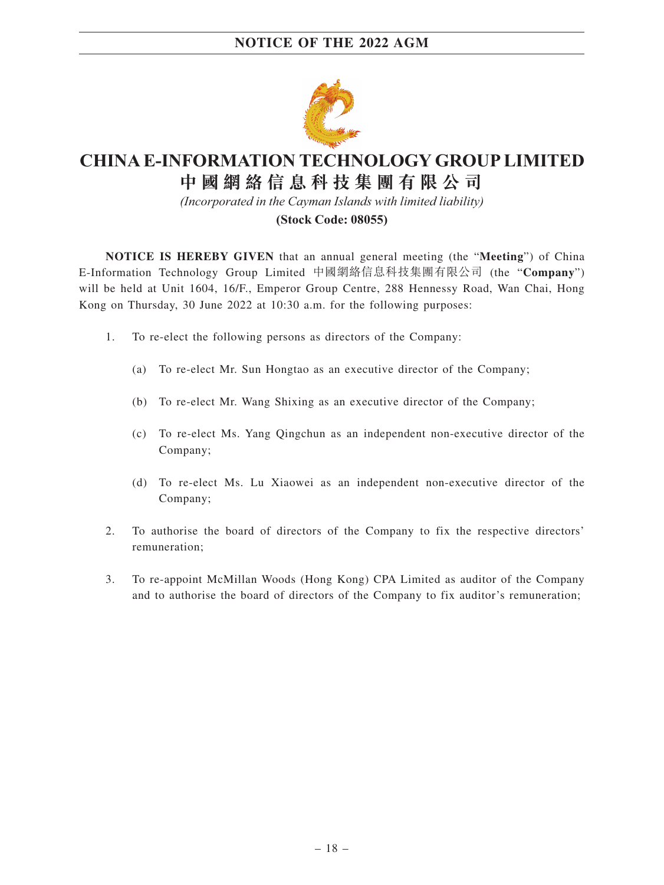

# **CHINA E-INFORMATION TECHNOLOGY GROUP LIMITED 中 國 網 絡 信 息 科 技 集 團 有 限 公 司**

*(Incorporated in the Cayman Islands with limited liability)*

#### **(Stock Code: 08055)**

**NOTICE IS HEREBY GIVEN** that an annual general meeting (the "**Meeting**") of China E-Information Technology Group Limited 中國網絡信息科技集團有限公司 (the "**Company**") will be held at Unit 1604, 16/F., Emperor Group Centre, 288 Hennessy Road, Wan Chai, Hong Kong on Thursday, 30 June 2022 at 10:30 a.m. for the following purposes:

- 1. To re-elect the following persons as directors of the Company:
	- (a) To re-elect Mr. Sun Hongtao as an executive director of the Company;
	- (b) To re-elect Mr. Wang Shixing as an executive director of the Company;
	- (c) To re-elect Ms. Yang Qingchun as an independent non-executive director of the Company;
	- (d) To re-elect Ms. Lu Xiaowei as an independent non-executive director of the Company;
- 2. To authorise the board of directors of the Company to fix the respective directors' remuneration;
- 3. To re-appoint McMillan Woods (Hong Kong) CPA Limited as auditor of the Company and to authorise the board of directors of the Company to fix auditor's remuneration;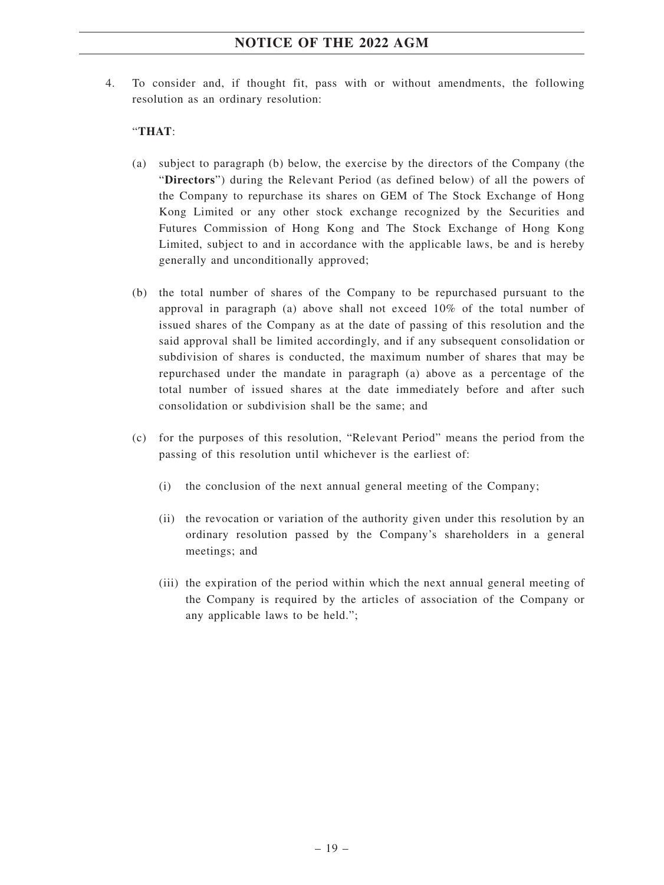4. To consider and, if thought fit, pass with or without amendments, the following resolution as an ordinary resolution:

#### "**THAT**:

- (a) subject to paragraph (b) below, the exercise by the directors of the Company (the "**Directors**") during the Relevant Period (as defined below) of all the powers of the Company to repurchase its shares on GEM of The Stock Exchange of Hong Kong Limited or any other stock exchange recognized by the Securities and Futures Commission of Hong Kong and The Stock Exchange of Hong Kong Limited, subject to and in accordance with the applicable laws, be and is hereby generally and unconditionally approved;
- (b) the total number of shares of the Company to be repurchased pursuant to the approval in paragraph (a) above shall not exceed 10% of the total number of issued shares of the Company as at the date of passing of this resolution and the said approval shall be limited accordingly, and if any subsequent consolidation or subdivision of shares is conducted, the maximum number of shares that may be repurchased under the mandate in paragraph (a) above as a percentage of the total number of issued shares at the date immediately before and after such consolidation or subdivision shall be the same; and
- (c) for the purposes of this resolution, "Relevant Period" means the period from the passing of this resolution until whichever is the earliest of:
	- (i) the conclusion of the next annual general meeting of the Company;
	- (ii) the revocation or variation of the authority given under this resolution by an ordinary resolution passed by the Company's shareholders in a general meetings; and
	- (iii) the expiration of the period within which the next annual general meeting of the Company is required by the articles of association of the Company or any applicable laws to be held.";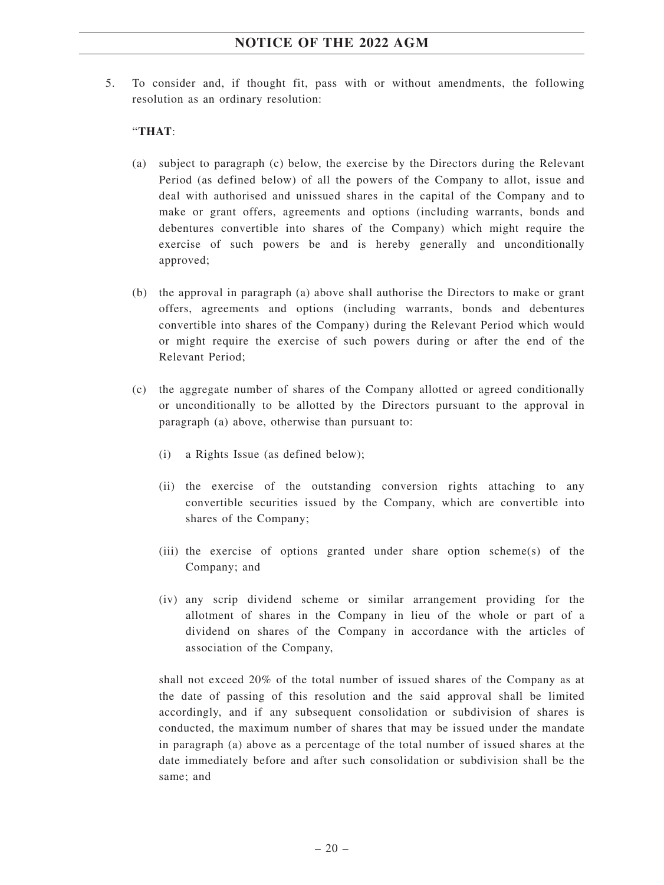5. To consider and, if thought fit, pass with or without amendments, the following resolution as an ordinary resolution:

#### "**THAT**:

- (a) subject to paragraph (c) below, the exercise by the Directors during the Relevant Period (as defined below) of all the powers of the Company to allot, issue and deal with authorised and unissued shares in the capital of the Company and to make or grant offers, agreements and options (including warrants, bonds and debentures convertible into shares of the Company) which might require the exercise of such powers be and is hereby generally and unconditionally approved;
- (b) the approval in paragraph (a) above shall authorise the Directors to make or grant offers, agreements and options (including warrants, bonds and debentures convertible into shares of the Company) during the Relevant Period which would or might require the exercise of such powers during or after the end of the Relevant Period;
- (c) the aggregate number of shares of the Company allotted or agreed conditionally or unconditionally to be allotted by the Directors pursuant to the approval in paragraph (a) above, otherwise than pursuant to:
	- (i) a Rights Issue (as defined below);
	- (ii) the exercise of the outstanding conversion rights attaching to any convertible securities issued by the Company, which are convertible into shares of the Company;
	- (iii) the exercise of options granted under share option scheme(s) of the Company; and
	- (iv) any scrip dividend scheme or similar arrangement providing for the allotment of shares in the Company in lieu of the whole or part of a dividend on shares of the Company in accordance with the articles of association of the Company,

shall not exceed 20% of the total number of issued shares of the Company as at the date of passing of this resolution and the said approval shall be limited accordingly, and if any subsequent consolidation or subdivision of shares is conducted, the maximum number of shares that may be issued under the mandate in paragraph (a) above as a percentage of the total number of issued shares at the date immediately before and after such consolidation or subdivision shall be the same; and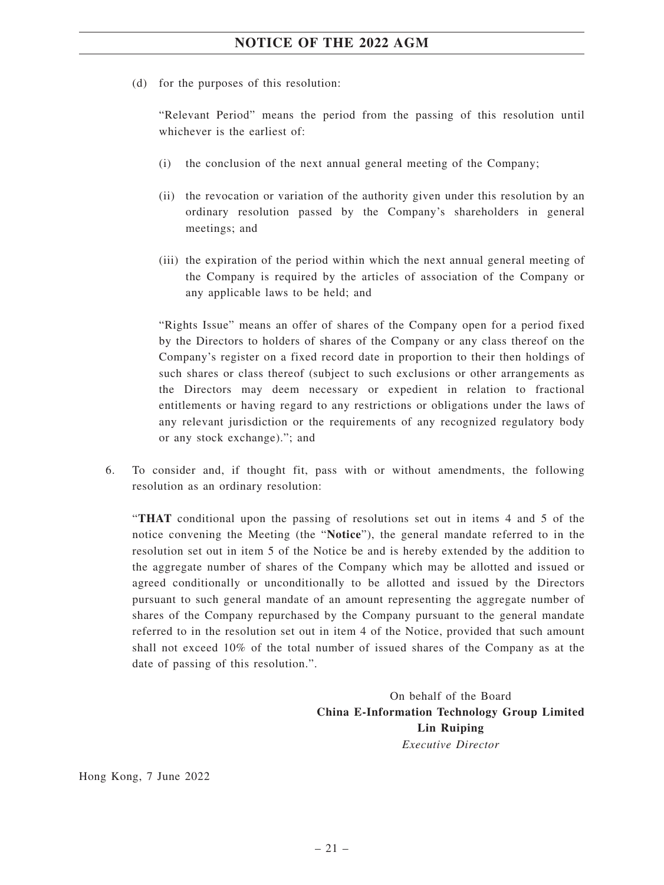(d) for the purposes of this resolution:

"Relevant Period" means the period from the passing of this resolution until whichever is the earliest of:

- (i) the conclusion of the next annual general meeting of the Company;
- (ii) the revocation or variation of the authority given under this resolution by an ordinary resolution passed by the Company's shareholders in general meetings; and
- (iii) the expiration of the period within which the next annual general meeting of the Company is required by the articles of association of the Company or any applicable laws to be held; and

"Rights Issue" means an offer of shares of the Company open for a period fixed by the Directors to holders of shares of the Company or any class thereof on the Company's register on a fixed record date in proportion to their then holdings of such shares or class thereof (subject to such exclusions or other arrangements as the Directors may deem necessary or expedient in relation to fractional entitlements or having regard to any restrictions or obligations under the laws of any relevant jurisdiction or the requirements of any recognized regulatory body or any stock exchange)."; and

6. To consider and, if thought fit, pass with or without amendments, the following resolution as an ordinary resolution:

"**THAT** conditional upon the passing of resolutions set out in items 4 and 5 of the notice convening the Meeting (the "**Notice**"), the general mandate referred to in the resolution set out in item 5 of the Notice be and is hereby extended by the addition to the aggregate number of shares of the Company which may be allotted and issued or agreed conditionally or unconditionally to be allotted and issued by the Directors pursuant to such general mandate of an amount representing the aggregate number of shares of the Company repurchased by the Company pursuant to the general mandate referred to in the resolution set out in item 4 of the Notice, provided that such amount shall not exceed 10% of the total number of issued shares of the Company as at the date of passing of this resolution.".

> On behalf of the Board **China E-Information Technology Group Limited Lin Ruiping** *Executive Director*

Hong Kong, 7 June 2022